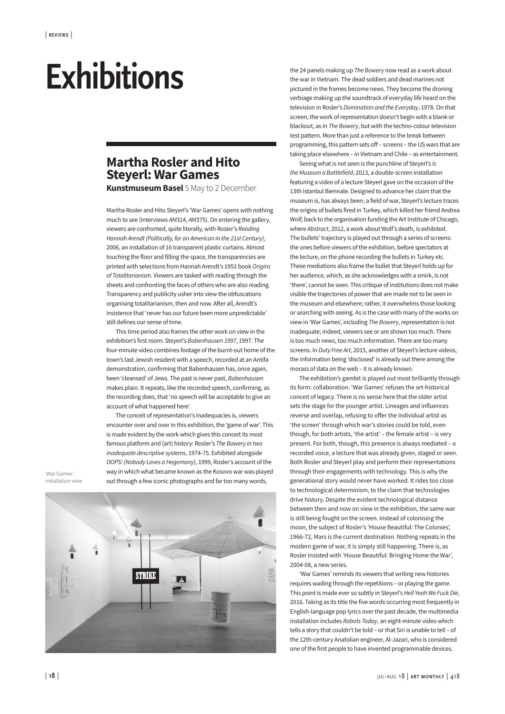## **Exhibitions**

## **Martha Rosler and Hito Steyerl: War Games**

**Kunstmuseum Basel** 5 May to 2 December

Martha Rosler and Hito Steyerl's 'War Games' opens with nothing much to see (Interviews *AM*314, *AM*375). On entering the gallery, viewers are confronted, quite literally, with Rosler's *Reading Hannah Arendt (Politically, for an American in the 21st Century)*, 2006, an installation of 16 transparent plastic curtains. Almost touching the floor and filling the space, the transparencies are printed with selections from Hannah Arendt's 1951 book *Origins of Totalitarianism*. Viewers are tasked with reading through the sheets and confronting the faces of others who are also reading. Transparency and publicity usher into view the obfuscations organising totalitarianism, then and now. After all, Arendt's insistence that 'never has our future been more unpredictable' still defines our sense of time.

This time period also frames the other work on view in the exhibition's first room: Steyerl's *Babenhausen 1997*, 1997. The four-minute video combines footage of the burnt-out home of the town's last Jewish resident with a speech, recorded at an Antifa demonstration, confirming that Babenhausen has, once again, been 'cleansed' of Jews. The past is never past, *Babenhausen* makes plain. It repeats, like the recorded speech, confirming, as the recording does, that 'no speech will be acceptable to give an account of what happened here'.

The conceit of representation's inadequacies is, viewers encounter over and over in this exhibition, the 'game of war'. This is made evident by the work which gives this conceit its most famous platform and (art) history: Rosler's *The Bowery in two inadequate descriptive systems*, 1974-75. Exhibited alongside *OOPS! (Nobody Loves a Hegemony*), 1999, Rosler's account of the way in which what became known as the Kosovo war was played out through a few iconic photographs and far too many words,

'War Games' installation view



the 24 panels making up *The Bowery* now read as a work about the war in Vietnam. The dead soldiers and dead marines not pictured in the frames become news. They become the droning verbiage making up the soundtrack of everyday life heard on the television in Rosler's *Domination and the Everyday*, 1978. On that screen, the work of representation doesn't begin with a blank or blackout, as in *The Bowery*, but with the techno-colour television test pattern. More than just a reference to the break between programming, this pattern sets of – screens – the US wars that are taking place elsewhere – in Vietnam and Chile – as entertainment.

Seeing what is not seen is the punchline of Steyerl's *Is the Museum a Battlefield*, 2013, a double-screen installation featuring a video of a lecture Steyerl gave on the occasion of the 13th Istanbul Biennale. Designed to advance her claim that the museum is, has always been, a field of war, Steyerl's lecture traces the origins of bullets fired in Turkey, which killed her friend Andrea Wolf, back to the organisation funding the Art Institute of Chicago, where *Abstract*, 2012, a work about Wolf's death, is exhibited. The bullets' trajectory is played out through a series of screens: the ones before viewers of the exhibition, before spectators at the lecture, on the phone recording the bullets in Turkey etc. These mediations also frame the bullet that Steyerl holds up for her audience, which, as she acknowledges with a smirk, is not 'there', cannot be seen. This critique of institutions does not make visible the trajectories of power that are made not to be seen in the museum and elsewhere; rather, it overwhelms those looking or searching with seeing. As is the case with many of the works on view in 'War Games', including *The Bowery*, representation is not inadequate; indeed, viewers see or are shown too much. There is too much news, too much information. There are too many screens. In *Duty Free Art*, 2015, another of Steyerl's lecture videos, the information being 'disclosed' is already out there among the morass of data on the web – it is already known.

The exhibition's gambit is played out most brilliantly through its form: collaboration. 'War Games' refuses the art-historical conceit of legacy. There is no sense here that the older artist sets the stage for the younger artist. Lineages and influences reverse and overlap, refusing to offer the individual artist as 'the screen' through which war's stories could be told, even though, for both artists, 'the artist' – the female artist – is very present. For both, though, this presence is always mediated – a recorded voice, a lecture that was already given, staged or seen. Both Rosler and Steyerl play and perform their representations through their engagements with technology. This is why the generational story would never have worked. It rides too close to technological determinism, to the claim that technologies drive history. Despite the evident technological distance between then and now on view in the exhibition, the same war is still being fought on the screen. Instead of colonising the moon, the subject of Rosler's 'House Beautiful: The Colonies', 1966-72, Mars is the current destination. Nothing repeats in the modern game of war, it is simply still happening. There is, as Rosler insisted with 'House Beautiful: Bringing Home the War', 2004-08, a new series.

'War Games' reminds its viewers that writing new histories requires wading through the repetitions – or playing the game. This point is made ever so subtly in Steyerl's *Hell Yeah We Fuck Die*, 2016. Taking as its title the five words occurring most frequently in English-language pop lyrics over the past decade, the multimedia installation includes *Robots Today*, an eight-minute video which tells a story that couldn't be told – or that Siri is unable to tell – of the 12th-century Anatolian engineer, Al-Jazari, who is considered one of the first people to have invented programmable devices.